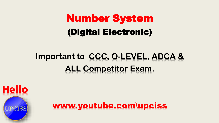## Number System (Digital Electronic)

## **Important to CCC, O-LEVEL, ADCA & ALL Competitor Exam.**



www.youtube.com\upciss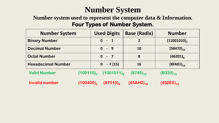#### **Number System**

#### **Number system used to represent the computer data & Information. Four Types of Number System.**

| <b>Number System</b>      |                         | <b>Used Digits</b>                               | <b>Base (Radix)</b> | <b>Number</b>     |
|---------------------------|-------------------------|--------------------------------------------------|---------------------|-------------------|
| <b>Binary Number</b>      |                         | $0 - 1$                                          | $\overline{2}$      | $(11001010)$ ,    |
| <b>Decimal Number</b>     |                         | $0 - 9$                                          | 10                  | $(58470)_{10}$    |
| <b>Octal Number</b>       |                         | $0 - 7$                                          | 8                   | $(46201)_{\rm s}$ |
| <b>Hexadecimal Number</b> |                         | $-F(15)$<br>$\mathbf{0}$                         | <b>16</b>           | $(8FA01)_{16}$    |
| <b>Valid Number</b>       |                         | $(100110)$ <sub>2</sub> $(1001011)$ <sub>8</sub> | $(8745)_{10}$       | $(B320)_{16}$     |
| <b>Invalid number</b>     | $(100400)$ <sub>2</sub> | $(87010)_{\rm g}$                                | $(45AHO)_{16}$      | $(450E0)_{10}$    |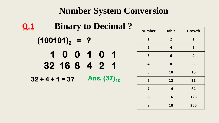#### **Number System Conversion**

| Q.1 |                   |               |  | <b>Binary to Decimal?</b> |  |
|-----|-------------------|---------------|--|---------------------------|--|
|     | $(100101)_2 = ?$  |               |  |                           |  |
|     |                   | 10010         |  | $\overline{\phantom{0}}$  |  |
|     |                   | 32 16 8 4 2 1 |  |                           |  |
|     | $32 + 4 + 1 = 37$ |               |  | Ans. $(37)_{10}$          |  |

| <b>Number</b>  | <b>Table</b>   | Growth         |
|----------------|----------------|----------------|
| $\mathbf{1}$   | 2 <sup>1</sup> | $\mathbf{1}$   |
| $\overline{2}$ | 4              | $\overline{2}$ |
| 3              | 6              | 4              |
| 4              | 8              | 8              |
| 5              | 10             | 16             |
| 6              | 12             | 32             |
| 7              | 14             | 64             |
| 8              | 16             | 128            |
| 9              | 18             | 256            |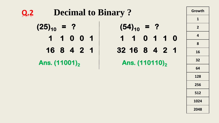| <b>Decimal to Binary?</b><br>$Q_{\boldsymbol{\cdot}}Z$ |                            | Growth         |
|--------------------------------------------------------|----------------------------|----------------|
|                                                        |                            |                |
| $(25)_{10}$ = ?                                        | $(54)_{10}$ = ?            | 2 <sup>2</sup> |
| 1 1 0 0 1                                              | 1 1 0 1 1 0                | $\overline{4}$ |
|                                                        |                            | 8              |
| 16 8 4 2 1                                             | 32 16 8 4 2 1              | 16             |
| Ans. (11001) <sub>2</sub>                              | Ans. (110110) <sub>2</sub> | 32             |
|                                                        |                            | 64             |
|                                                        |                            | 128            |

**256**

**512**

**1024**

**2048**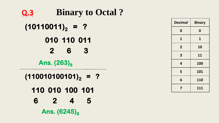| tu Octair.     |                         |                  |
|----------------|-------------------------|------------------|
|                | <b>Decimal</b>          | <b>Binary</b>    |
|                | $\boldsymbol{0}$        | $\boldsymbol{0}$ |
| 1              | $\mathbf{1}$            | $\mathbf{1}$     |
| }              | $\overline{2}$          | 10               |
|                | $\overline{\mathbf{3}}$ | 11               |
|                | $\overline{\mathbf{4}}$ | <b>100</b>       |
|                | 5                       | 101              |
| $\blacksquare$ | $6\phantom{1}6$         | 110              |
|                | $\overline{\mathbf{z}}$ | 111              |
| 01<br>5        |                         |                  |

| <b>Q.3</b>              | Binary to Octal ? |
|-------------------------|-------------------|
| $(10110011)_2 = ?$      |                   |
| $010 110 011$           |                   |
| $2 6 3$                 |                   |
| Ans. (263) <sub>8</sub> |                   |
| $(110010100101)_2 = ?$  |                   |
| $110 010 100 101$       |                   |

**6 2 4 5** 

Ans.  $(6245)_8$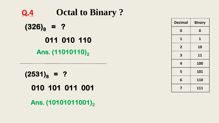| Q.4             | <b>Octal to Binary?</b> |
|-----------------|-------------------------|
| $(326)_{8}$ = ? |                         |
|                 | 011 010 110             |
|                 | Ans. (11010110),        |

 $(2531)_8$  = ? **010 101 011 001**

Ans. (10101011001)<sub>2</sub>

| <b>Decimal</b>   | <b>Binary</b>    |
|------------------|------------------|
| $\boldsymbol{0}$ | $\boldsymbol{0}$ |
| 1                | 1                |
| $\overline{2}$   | 10               |
| 3                | 11               |
| 4                | 100              |
| 5                | 101              |
| 6                | 110              |
| 7                | 111              |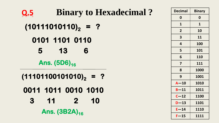| <b>Binary to Hexadecimal?</b><br>Q.5           | <b>Decimal</b>          | <b>Binary</b> |
|------------------------------------------------|-------------------------|---------------|
|                                                | $\mathbf 0$             | $\mathbf 0$   |
| $(10111010110)_{2}$ = ?                        | $\mathbf{1}$            | $\mathbf{1}$  |
|                                                | $\overline{2}$          | 10            |
| 0101 1101 0110                                 | $\overline{\mathbf{3}}$ | 11            |
|                                                | $\overline{\mathbf{4}}$ | 100           |
| $5 -$<br>$-13$<br>6                            | 5                       | 101           |
|                                                | 6                       | 110           |
| Ans. $(5D6)_{16}$                              | $\overline{7}$          | 111           |
|                                                | 8                       | 1000          |
| $(11101100101010)_{2}$ = ?                     | 9                       | 1001          |
|                                                | $A - 10$                | 1010          |
| 0011 1011 0010 1010                            | $B-11$                  | 1011          |
|                                                | $C - 12$                | 1100          |
| $3 \quad 11$<br>$\overline{\phantom{a}}$<br>10 | $D - 13$                | 1101          |
| Ans. $(3B2A)_{16}$                             | $E - 14$                | 1110          |
|                                                | $F - 15$                | 1111          |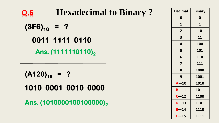| <b>Hexadecimal to Binary?</b><br>Q.6 | <b>Decimal</b>          | <b>Binary</b> |
|--------------------------------------|-------------------------|---------------|
|                                      | $\mathbf 0$             | $\mathbf 0$   |
| $(3F6)_{16}$ = ?                     | $\mathbf{1}$            | $\mathbf{1}$  |
|                                      | $\overline{2}$          | 10            |
| 0011 1111 0110                       | 3                       | 11            |
|                                      | $\overline{4}$          | 100           |
| Ans. (1111110110),                   | 5                       | 101           |
|                                      | 6                       | 110           |
|                                      | $\overline{\mathbf{z}}$ | 111           |
|                                      | 8                       | 1000          |
| $(A120)_{16} = ?$                    | 9                       | 1001          |
|                                      | $A - 10$                | 1010          |
| 1010 0001 0010 0000                  | $B-11$                  | 1011          |
|                                      | $C - 12$                | 1100          |
| Ans. (1010000100100000),             | $D-13$                  | 1101          |
|                                      | $E - 14$                | 1110          |

 $F - 15$  1111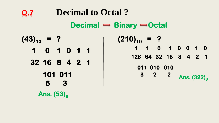**Q.7 Decimal to Octal ?**  $(43)_{10} = ?$ Ans.  $(53)_{8}$ Decimal  $\rightarrow$  Binary  $\rightarrow$  Octal **32 16 8 4 2 1 1 0 1 0 1 1 101 011 5 3**   $(210)_{10} = ?$ Ans. (322)<sub>8</sub> **128 64 32 16 8 4 2 1 1 1 0 1 0 0 1 0 011 010 010 3 2 2**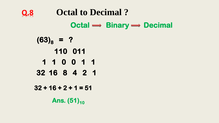**Q.8 Octal to Decimal ?**  $(63)_{8} = ?$ Ans. (51)<sup>10</sup>  $Octal \longrightarrow Binary \longrightarrow Decimal$ **32 16 8 4 2 1 110 011 1 1 0 0 1 1 32 + 16 + 2 + 1 = 51**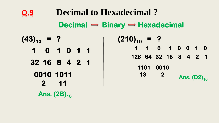**Q.9 Decimal to Hexadecimal ?**  $(43)_{10} = ?$ Ans. (2B)<sub>16</sub> Decimal  $\rightarrow$  Binary  $\rightarrow$  Hexadecimal **32 16 8 4 2 1 1 0 1 0 1 1 0010 1011 2 11**   $(210)_{10} = ?$ **Ans.** (D2)<sub>16</sub> **128 64 32 16 8 4 2 1 1 1 0 1 0 0 1 0 1101 0010 13 2**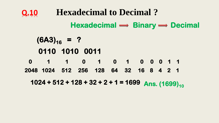**Q.10 Hexadecimal to Decimal ?**  $(6A3)_{16} = ?$ Ans. (1699)<sub>10</sub>  $Hexadecimal \longrightarrow Binary \rightarrow Decimal$ **0110 1010 0011 0 1 1 0 1 0 1 0 0 0 1 1 1024 + 512 + 128 + 32 + 2 + 1 = 1699 2048 1024 512 256 128 64 32 16 8 4 2 1**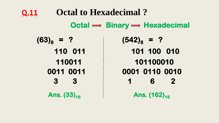## **Q.11 Octal to Hexadecimal ?**  $(63)_{8} = ?$  $Octal \longrightarrow Binary \longrightarrow Hexadecimal$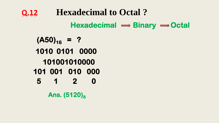**Q.12 Hexadecimal to Octal ?**  $(A50)_{16} = ?$ Ans.  $(5120)_8$ Hexadecimal  $\rightarrow$  Binary  $\rightarrow$  Octal **101 001 010 000 1010 0101 0000 101001010000 5 1 2 0**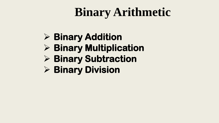## **Binary Arithmetic**

### **Binary Addition**

- **Binary Multiplication**
- **Binary Subtraction**
- **Binary Division**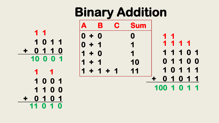**Binary Addition A B C Sum 0 + 0 0 0 + 1 1 1 + 0 1 1 + 1 10 1 + 1 + 1 11 1 0 1 1 + 0 1 1 0 10 0 0 1 1 1 1 0 0 1 1 1 0 0 + 0 1 0 1 11 0 1 0 1 1**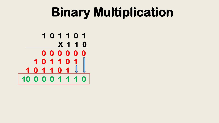## **Binary Multiplication**

**1 0 1 1 0 1 X 1 1 0 10 0 0 0 1 1 1 0 0 0 0 0 0 0 1 0 1 1 0 1 1 0 1 1 0 1**